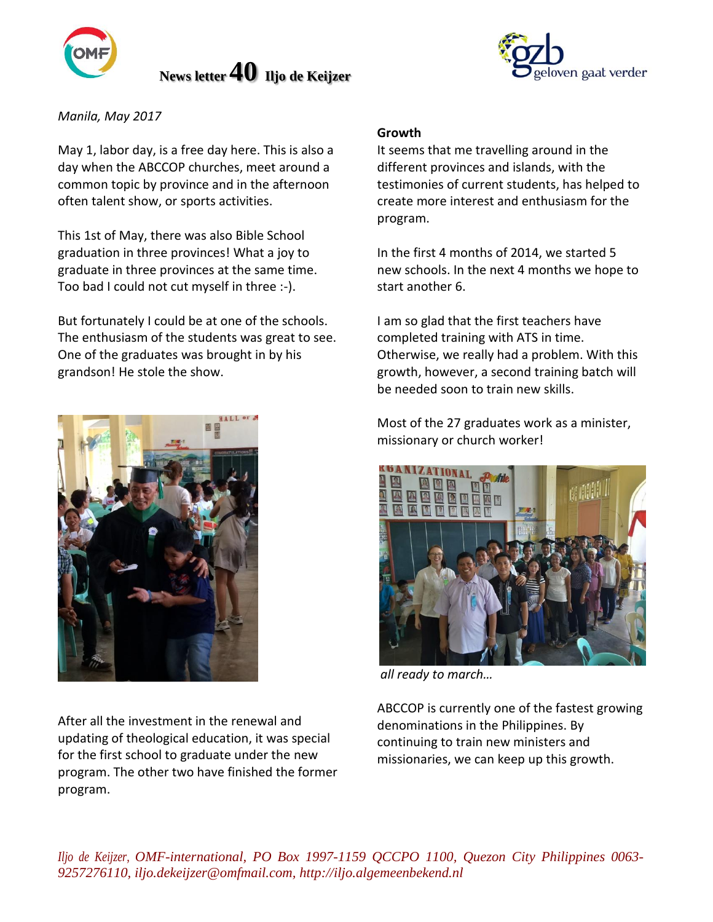

 **News letter40 Iljo de Keijzer** 



*Manila, May 2017*

May 1, labor day, is a free day here. This is also a day when the ABCCOP churches, meet around a common topic by province and in the afternoon often talent show, or sports activities.

This 1st of May, there was also Bible School graduation in three provinces! What a joy to graduate in three provinces at the same time. Too bad I could not cut myself in three :-).

But fortunately I could be at one of the schools. The enthusiasm of the students was great to see. One of the graduates was brought in by his grandson! He stole the show.



After all the investment in the renewal and updating of theological education, it was special for the first school to graduate under the new program. The other two have finished the former program.

# **Growth**

It seems that me travelling around in the different provinces and islands, with the testimonies of current students, has helped to create more interest and enthusiasm for the program.

In the first 4 months of 2014, we started 5 new schools. In the next 4 months we hope to start another 6.

I am so glad that the first teachers have completed training with ATS in time. Otherwise, we really had a problem. With this growth, however, a second training batch will be needed soon to train new skills.

Most of the 27 graduates work as a minister, missionary or church worker!



*all ready to march…*

ABCCOP is currently one of the fastest growing denominations in the Philippines. By continuing to train new ministers and missionaries, we can keep up this growth.

*Iljo de Keijzer, OMF-international, PO Box 1997-1159 QCCPO 1100, Quezon City Philippines 0063- 9257276110, iljo.dekeijzer@omfmail.com, http://iljo.algemeenbekend.nl*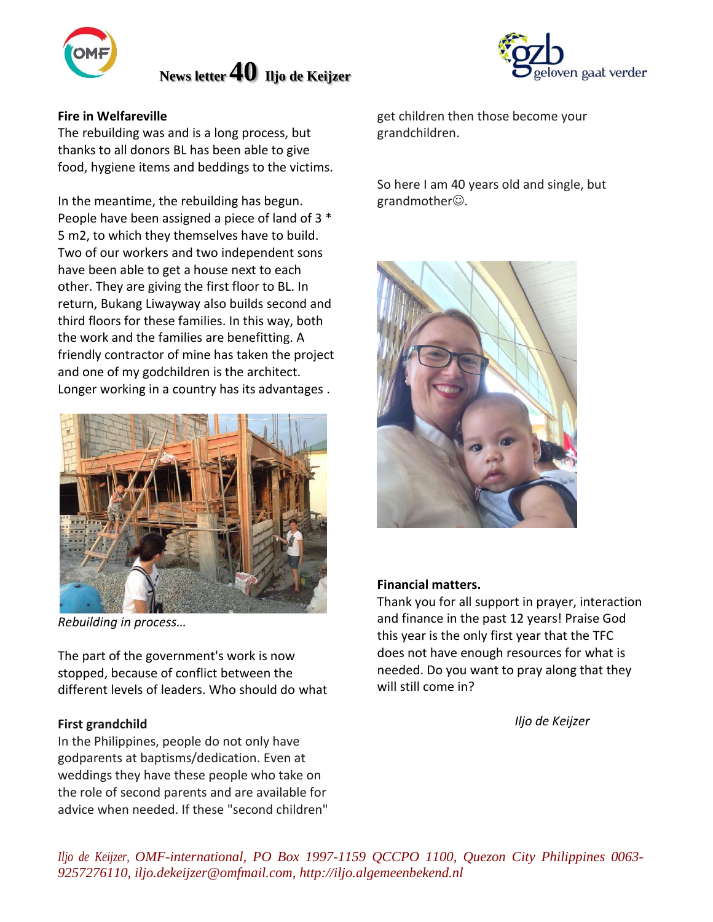

# **News letter40 Iljo de Keijzer**



# **Fire in Welfareville**

The rebuilding was and is a long process, but thanks to all donors BL has been able to give food, hygiene items and beddings to the victims.

In the meantime, the rebuilding has begun. People have been assigned a piece of land of 3 \* 5 m2, to which they themselves have to build. Two of our workers and two independent sons have been able to get a house next to each other. They are giving the first floor to BL. In return, Bukang Liwayway also builds second and third floors for these families. In this way, both the work and the families are benefitting. A friendly contractor of mine has taken the project and one of my godchildren is the architect. Longer working in a country has its advantages .



*Rebuilding in process…*

The part of the government's work is now stopped, because of conflict between the different levels of leaders. Who should do what

# **First grandchild**

In the Philippines, people do not only have godparents at baptisms/dedication. Even at weddings they have these people who take on the role of second parents and are available for advice when needed. If these "second children" get children then those become your grandchildren.

So here I am 40 years old and single, but grandmother $\odot$ .



# **Financial matters.**

Thank you for all support in prayer, interaction and finance in the past 12 years! Praise God this year is the only first year that the TFC does not have enough resources for what is needed. Do you want to pray along that they will still come in?

*Iljo de Keijzer*

*Iljo de Keijzer, OMF-international, PO Box 1997-1159 QCCPO 1100, Quezon City Philippines 0063- 9257276110, iljo.dekeijzer@omfmail.com, http://iljo.algemeenbekend.nl*